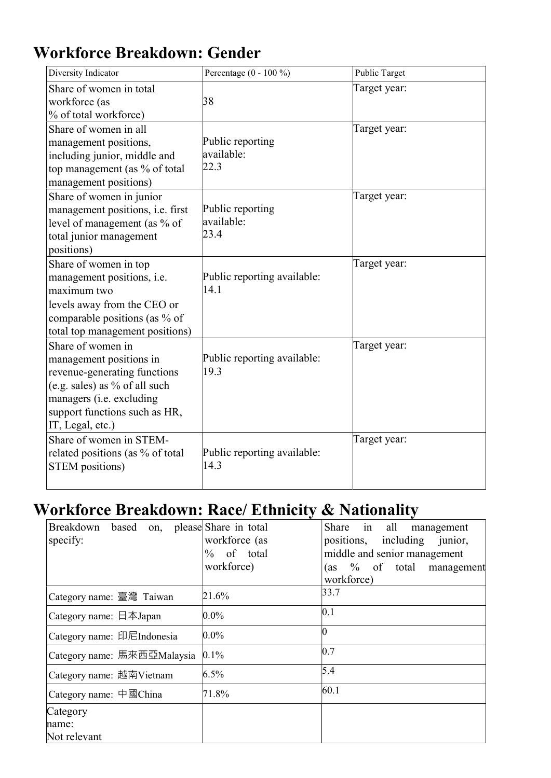## Workforce Breakdown: Gender

| Diversity Indicator                                                                                                                                                                            | Percentage $(0 - 100\%)$               | Public Target |
|------------------------------------------------------------------------------------------------------------------------------------------------------------------------------------------------|----------------------------------------|---------------|
| Share of women in total<br>workforce (as<br>% of total workforce)                                                                                                                              | 38                                     | Target year:  |
| Share of women in all<br>management positions,<br>including junior, middle and<br>top management (as % of total<br>management positions)                                                       | Public reporting<br>available:<br>22.3 | Target year:  |
| Share of women in junior<br>management positions, i.e. first<br>level of management (as % of<br>total junior management<br>positions)                                                          | Public reporting<br>available:<br>23.4 | Target year:  |
| Share of women in top<br>management positions, i.e.<br>maximum two<br>levels away from the CEO or<br>comparable positions (as % of<br>total top management positions)                          | Public reporting available:<br>14.1    | Target year:  |
| Share of women in<br>management positions in<br>revenue-generating functions<br>(e.g. sales) as % of all such<br>managers (i.e. excluding<br>support functions such as HR,<br>IT, Legal, etc.) | Public reporting available:<br>19.3    | Target year:  |
| Share of women in STEM-<br>related positions (as % of total<br><b>STEM</b> positions)                                                                                                          | Public reporting available:<br>14.3    | Target year:  |

## Workforce Breakdown: Race/ Ethnicity & Nationality

| Breakdown based on, please Share in total |               | Share in all<br>management    |
|-------------------------------------------|---------------|-------------------------------|
| specify:                                  | workforce (as | positions, including junior,  |
|                                           | $%$ of total  | middle and senior management  |
|                                           | workforce)    | $(as 9\% of total management$ |
|                                           |               | workforce)                    |
| Category name: 臺灣 Taiwan                  | 21.6%         | 33.7                          |
| Category name: $\Box$ $\bar{A}$ Japan     | $0.0\%$       | 0.1                           |
| Category name: 印尼Indonesia                | $0.0\%$       |                               |
| Category name: 馬來西亞Malaysia               | $0.1\%$       | 0.7                           |
| Category name: 越南Vietnam                  | $6.5\%$       | 5.4                           |
| Category name: $\Box$ Thina               | 71.8%         | 60.1                          |
| Category                                  |               |                               |
| name:                                     |               |                               |
| Not relevant                              |               |                               |